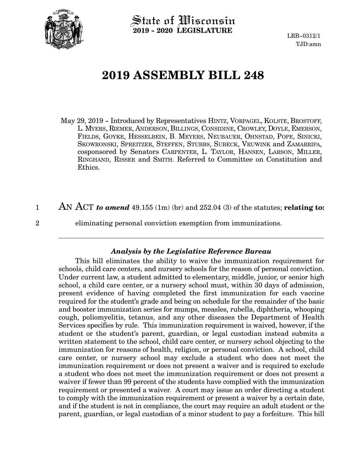

State of Wisconsin **2019 - 2020 LEGISLATURE**

LRB-0312/1 TJD:amn

## **2019 ASSEMBLY BILL 248**

May 29, 2019 - Introduced by Representatives HINTZ, VORPAGEL, KOLSTE, BROSTOFF, L. MYERS, RIEMER, ANDERSON, BILLINGS, CONSIDINE, CROWLEY, DOYLE, EMERSON, FIELDS, GOYKE, HESSELBEIN, B. MEYERS, NEUBAUER, OHNSTAD, POPE, SINICKI, SKOWRONSKI, SPREITZER, STEFFEN, STUBBS, SUBECK, VRUWINK and ZAMARRIPA, cosponsored by Senators CARPENTER, L. TAYLOR, HANSEN, LARSON, MILLER, RINGHAND, RISSER and SMITH. Referred to Committee on Constitution and Ethics.

AN ACT *to amend* 49.155 (1m) (br) and 252.04 (3) of the statutes; **relating to:** 1

2

eliminating personal conviction exemption from immunizations.

## *Analysis by the Legislative Reference Bureau*

This bill eliminates the ability to waive the immunization requirement for schools, child care centers, and nursery schools for the reason of personal conviction. Under current law, a student admitted to elementary, middle, junior, or senior high school, a child care center, or a nursery school must, within 30 days of admission, present evidence of having completed the first immunization for each vaccine required for the student's grade and being on schedule for the remainder of the basic and booster immunization series for mumps, measles, rubella, diphtheria, whooping cough, poliomyelitis, tetanus, and any other diseases the Department of Health Services specifies by rule. This immunization requirement is waived, however, if the student or the student's parent, guardian, or legal custodian instead submits a written statement to the school, child care center, or nursery school objecting to the immunization for reasons of health, religion, or personal conviction. A school, child care center, or nursery school may exclude a student who does not meet the immunization requirement or does not present a waiver and is required to exclude a student who does not meet the immunization requirement or does not present a waiver if fewer than 99 percent of the students have complied with the immunization requirement or presented a waiver. A court may issue an order directing a student to comply with the immunization requirement or present a waiver by a certain date, and if the student is not in compliance, the court may require an adult student or the parent, guardian, or legal custodian of a minor student to pay a forfeiture. This bill